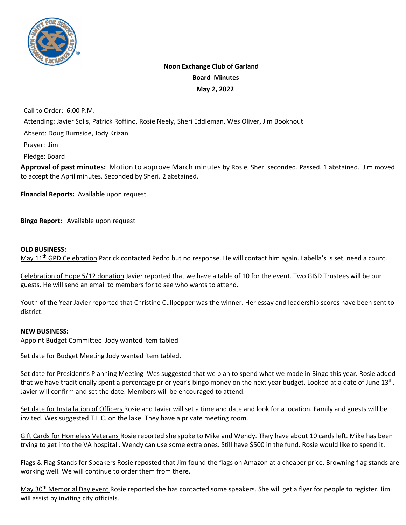

# **Noon Exchange Club of Garland Board Minutes May 2, 2022**

Call to Order: 6:00 P.M.

Attending: Javier Solis, Patrick Roffino, Rosie Neely, Sheri Eddleman, Wes Oliver, Jim Bookhout

Absent: Doug Burnside, Jody Krizan

Prayer: Jim

Pledge: Board

**Approval of past minutes:** Motion to approve March minutes by Rosie, Sheri seconded. Passed. 1 abstained. Jim moved to accept the April minutes. Seconded by Sheri. 2 abstained.

**Financial Reports:** Available upon request

**Bingo Report:** Available upon request

#### **OLD BUSINESS:**

May 11<sup>th</sup> GPD Celebration Patrick contacted Pedro but no response. He will contact him again. Labella's is set, need a count.

Celebration of Hope 5/12 donation Javier reported that we have a table of 10 for the event. Two GISD Trustees will be our guests. He will send an email to members for to see who wants to attend.

Youth of the Year Javier reported that Christine Cullpepper was the winner. Her essay and leadership scores have been sent to district.

### **NEW BUSINESS:**

Appoint Budget Committee Jody wanted item tabled

Set date for Budget Meeting Jody wanted item tabled.

Set date for President's Planning Meeting Wes suggested that we plan to spend what we made in Bingo this year. Rosie added that we have traditionally spent a percentage prior year's bingo money on the next year budget. Looked at a date of June 13<sup>th</sup>. Javier will confirm and set the date. Members will be encouraged to attend.

Set date for Installation of Officers Rosie and Javier will set a time and date and look for a location. Family and guests will be invited. Wes suggested T.L.C. on the lake. They have a private meeting room.

Gift Cards for Homeless Veterans Rosie reported she spoke to Mike and Wendy. They have about 10 cards left. Mike has been trying to get into the VA hospital . Wendy can use some extra ones. Still have \$500 in the fund. Rosie would like to spend it.

Flags & Flag Stands for Speakers Rosie reposted that Jim found the flags on Amazon at a cheaper price. Browning flag stands are working well. We will continue to order them from there.

May 30th Memorial Day event Rosie reported she has contacted some speakers. She will get a flyer for people to register. Jim will assist by inviting city officials.